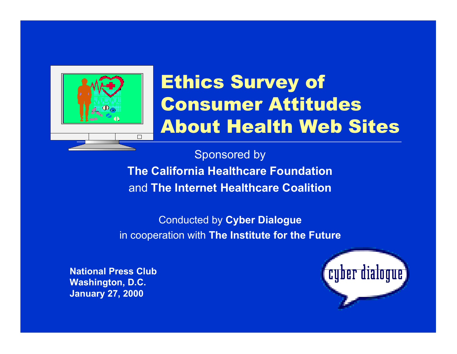

# Ethics Survey of Consumer Attitudes About Health Web Sites

Sponsored by **The California Healthcare Foundation** and **The Internet Healthcare Coalition**

Conducted by **Cyber Dialogue** in cooperation with **The Institute for the Future**

**National Press Club Washington, D.C. January 27, 2000**

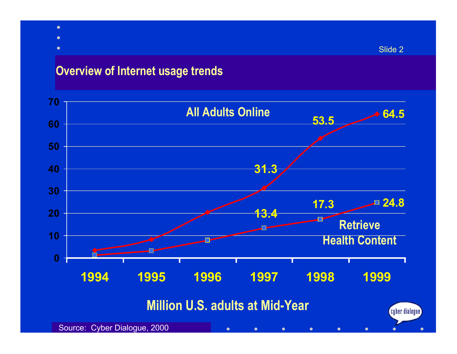- $\bullet$
- $\bullet$
- 
- $\bullet$

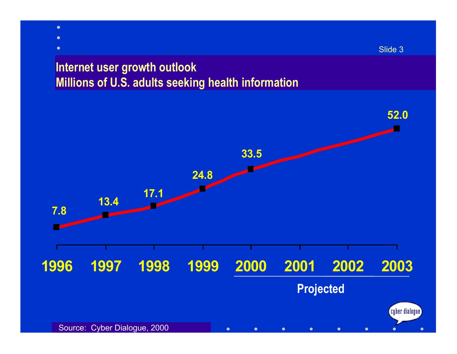# **Internet user growth outlook**

 $\bullet$  $\bullet$  $\bullet$ 

**Millions of U.S. adults seeking health information**



Slide 3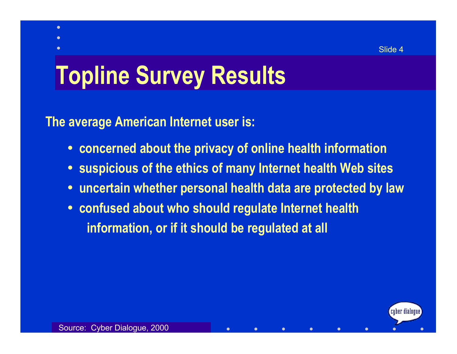(cuber dialoque)

# **Topline Survey Results**

**The average American Internet user is:**

 $\bullet$ 

- $\bullet$ **concerned about the privacy of online health information**
- •**suspicious of the ethics of many Internet health Web sites**

 $\bullet$ 

 $\bullet$ 

 $\bullet$ 

- •**uncertain whether personal health data are protected by law**
- $\bullet$  **confused about who should regulate Internet health information, or if it should be regulated at all**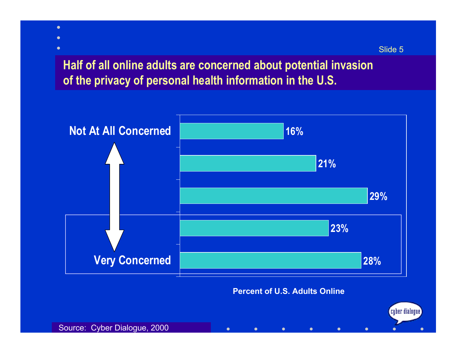**Half of all online adults are concerned about potential invasion of the privacy of personal health information in the U.S.**



 $\bullet$ 

 $\bullet$ 

 $\bullet$ 

 $\bullet$ 

 $\bullet$ 

 $\bullet$ 

#### Source: Cyber Dialogue, 2000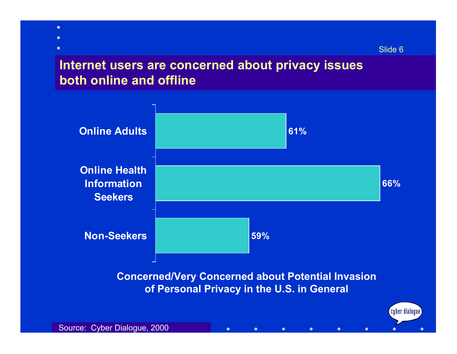# **Internet users are concerned about privacy issues both online and offline**

Slide 6



 $\bullet$ 

 $\bullet$ 

 $\bullet$ 

 $\bullet$ 

 $\bullet$ 

 $\bullet$ 

Source: Cyber Dialogue, 2000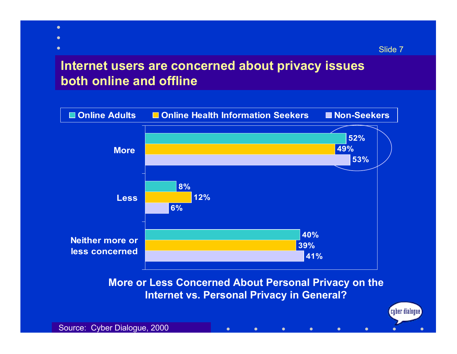### **Internet users are concerned about privacy issues both online and offline**



 $\bullet$ 

**Internet vs. Personal Privacy in General?**

 $\bullet$ 

 $\bullet$ 

 $\bullet$ 

 $\bullet$ 

 $\bullet$ 

 $\bullet$  $\bullet$  $\bullet$ 

(cuber dialoque)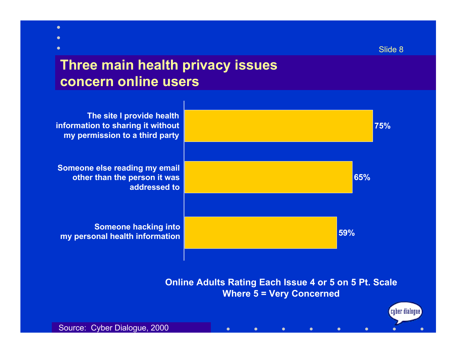(cyber dialogue)

# **Three main health privacy issues concern online users**



 $\bullet$ 

 $\bullet$ 

**Online Adults Rating Each Issue 4 or 5 on 5 Pt. Scale Where 5 = Very Concerned**

 $\bullet$ 

 $\bullet$ 

 $\bullet$ 

 $\bullet$ 

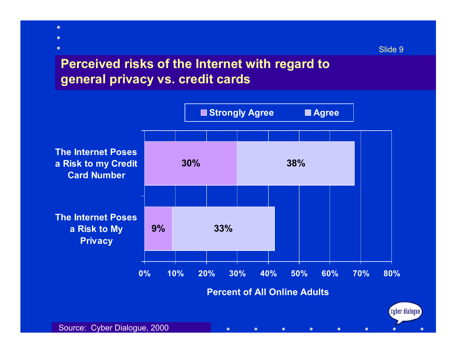# **Perceived risks of the Internet with regard to general privacy vs. credit cards**

 $\bullet$  $\bullet$  $\bullet$ 

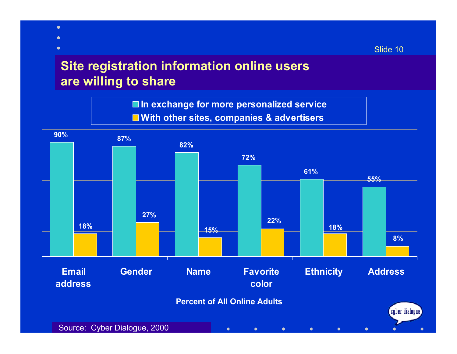# **Site registration information online users are willing to share**

 $\bullet$  $\bullet$  $\bullet$ 

> **In exchange for more personalized service With other sites, companies & advertisers**



Slide 10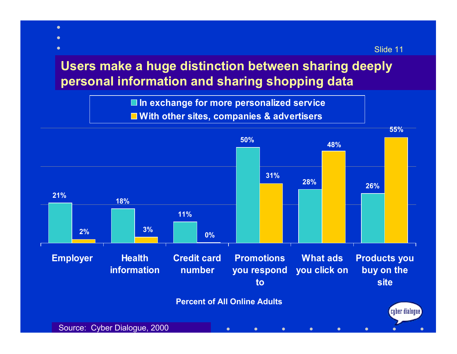# **Users make a huge distinction between sharing deeply personal information and sharing shopping data**

 $\bullet$ 

Slide 11

**In exchange for more personalized service With other sites, companies & advertisers**

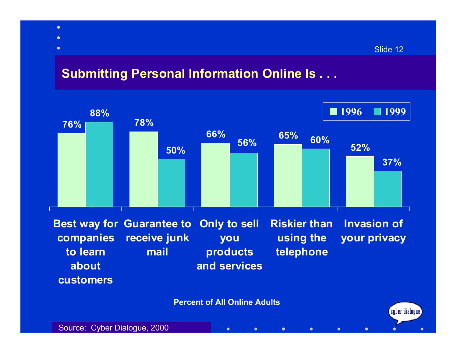### **Submitting Personal Information Online Is . . .**

 $\bullet$  $\bullet$  $\bullet$ 

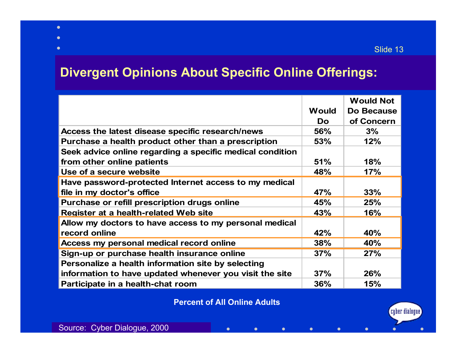## **Divergent Opinions About Specific Online Offerings:**

|                                                           |              | <b>Would Not</b> |
|-----------------------------------------------------------|--------------|------------------|
|                                                           | <b>Would</b> | Do Because       |
|                                                           | Do.          | of Concern       |
| Access the latest disease specific research/news          | <b>56%</b>   | 3%               |
| Purchase a health product other than a prescription       | 53%          | 12%              |
| Seek advice online regarding a specific medical condition |              |                  |
| from other online patients                                | 51%          | 18%              |
| Use of a secure website                                   | 48%          | 17%              |
| Have password-protected Internet access to my medical     |              |                  |
| file in my doctor's office                                | 47%          | 33%              |
| Purchase or refill prescription drugs online              | 45%          | 25%              |
| Register at a health-related Web site                     | 43%          | 16%              |
| Allow my doctors to have access to my personal medical    |              |                  |
| record online                                             | 42%          | 40%              |
| Access my personal medical record online                  | 38%          | 40%              |
| Sign-up or purchase health insurance online               | 37%          | 27%              |
| Personalize a health information site by selecting        |              |                  |
| information to have updated whenever you visit the site   | 37%          | 26%              |
| Participate in a health-chat room                         | 36%          | 15%              |

#### **Percent of All Online Adults**

 $\bullet$ 

 $\bullet$ 

 $\bullet$ 

 $\bullet$ 

 $\bullet$ 

 $\bullet$ 

 $\bullet$  $\bullet$  $\bullet$ 

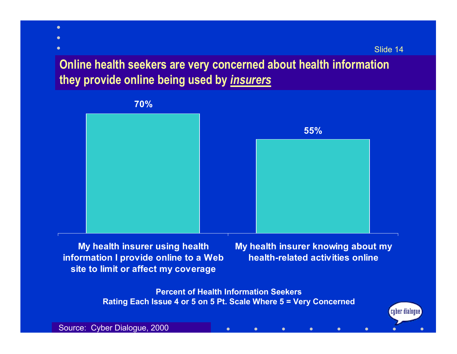$\left[\begin{smallmatrix}c\end{smallmatrix}\right]$  ber dialogue)

## **Online health seekers are very concerned about health information they provide online being used by** *insurers*



**My health insurer using health information I provide online to a Web site to limit or affect my coverage**

**My health insurer knowing about my health-related activities online**

 $\bullet$ 

 $\bullet$ 

 $\bullet$ 

**Percent of Health Information Seekers Rating Each Issue 4 or 5 on 5 Pt. Scale Where 5 = Very Concerned**

 $\bullet$ 

 $\bullet$ 

 $\bullet$ 

Source: Cyber Dialogue, 2000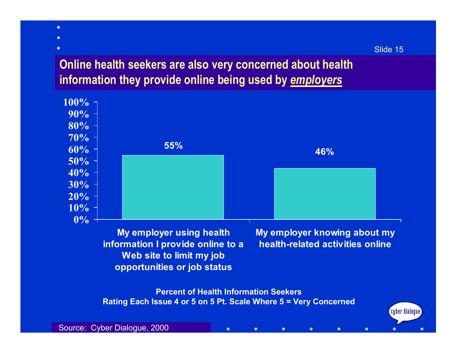# **Online health seekers are also very concerned about health information they provide online being used by** *employers*



Slide 15

 $\left[$ cuber dialoque $\right)$ 

**Percent of Health Information Seekers Rating Each Issue 4 or 5 on 5 Pt. Scale Where 5 = Very Concerned**

 $\bullet$ 

 $\bullet$ 

 $\bullet$ 

 $\bullet$ 

 $\bullet$ 

 $\bullet$ 

**opportunities or job status**

Source: Cyber Dialogue, 2000

 $\bullet$  $\bullet$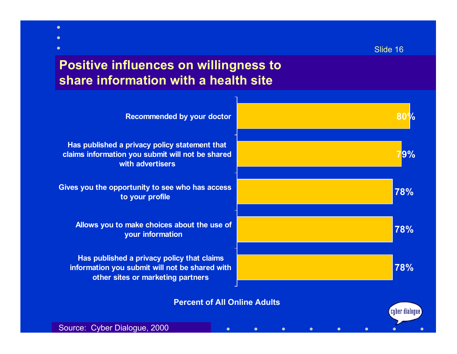# **Positive influences on willingness to share information with a health site**

| <b>Recommended by your doctor</b>                                                                                                 |                 |
|-----------------------------------------------------------------------------------------------------------------------------------|-----------------|
| Has published a privacy policy statement that<br>claims information you submit will not be shared<br>with advertisers             | $ 9\%$          |
| Gives you the opportunity to see who has access<br>to your profile                                                                | 78%             |
| Allows you to make choices about the use of<br>your information                                                                   | 78%             |
| Has published a privacy policy that claims<br>information you submit will not be shared with<br>other sites or marketing partners | 78%             |
| <b>Percent of All Online Adults</b>                                                                                               | (cyber dialogue |
| Source: Cyber Dialogue, 2000<br>$\bullet$                                                                                         |                 |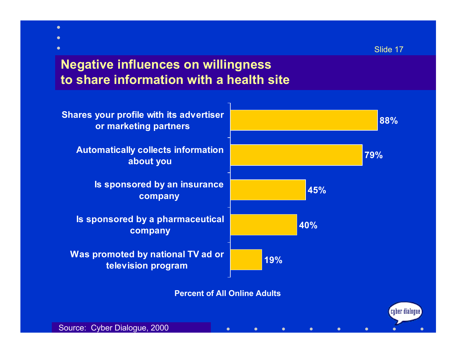(cyber dialogue)

# **Negative influences on willingness to share information with a health site**



**Percent of All Online Adults**

 $\bullet$ 

 $\bullet$ 

 $\bullet$ 

 $\bullet$ 

 $\bullet$ 

 $\bullet$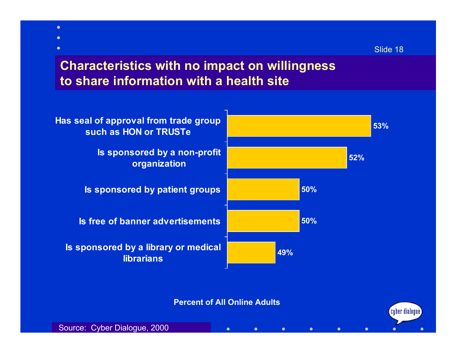$\left[$ cuber dialoque $\right)$ 

## **Characteristics with no impact on willingness to share information with a health site**



**Percent of All Online Adults**

 $\bullet$ 

 $\bullet$ 

 $\bullet$ 

 $\bullet$ 

 $\bullet$ 

 $\bullet$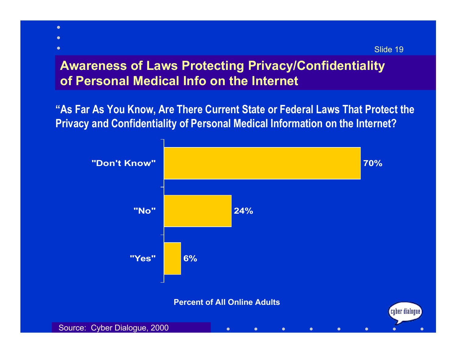# **Awareness of Laws Protecting Privacy/Confidentiality of Personal Medical Info on the Internet**

 $\bullet$ 

**"As Far As You Know, Are There Current State or Federal Laws That Protect the Privacy and Confidentiality of Personal Medical Information on the Internet?**

Slide 19

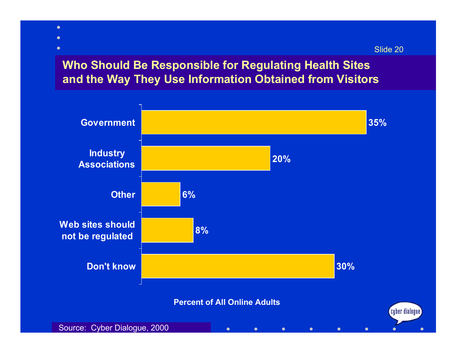### **Who Should Be Responsible for Regulating Health Sites and the Way They Use Information Obtained from Visitors**

 $\bullet$  $\bullet$  $\bullet$ 

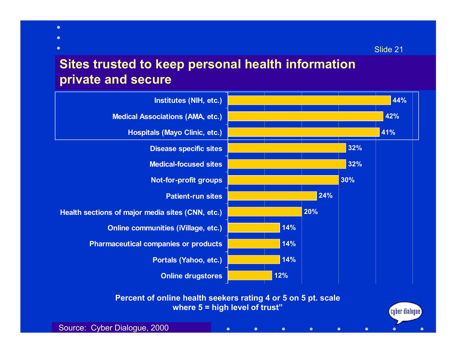## **Sites trusted to keep personal health information private and secure**



 $\bullet$ 

 $\bullet$ 

 $\bullet$ 

 $\bullet$ 

 $\bullet$ 

 $\bullet$ 

Source: Cyber Dialogue, 2000

 $\bullet$  $\bullet$